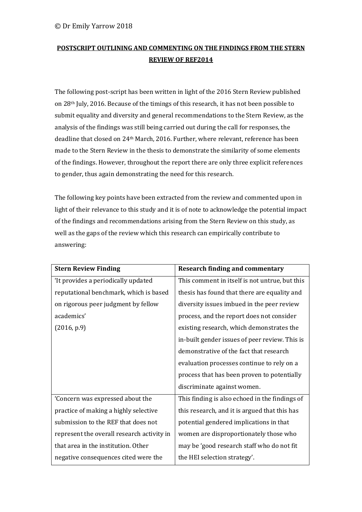## **POSTSCRIPT OUTLINING AND COMMENTING ON THE FINDINGS FROM THE STERN REVIEW OF REF2014**

The following post-script has been written in light of the 2016 Stern Review published on 28th July, 2016. Because of the timings of this research, it has not been possible to submit equality and diversity and general recommendations to the Stern Review, as the analysis of the findings was still being carried out during the call for responses, the deadline that closed on 24th March, 2016. Further, where relevant, reference has been made to the Stern Review in the thesis to demonstrate the similarity of some elements of the findings. However, throughout the report there are only three explicit references to gender, thus again demonstrating the need for this research.

The following key points have been extracted from the review and commented upon in light of their relevance to this study and it is of note to acknowledge the potential impact of the findings and recommendations arising from the Stern Review on this study, as well as the gaps of the review which this research can empirically contribute to answering:

| <b>Stern Review Finding</b>                | <b>Research finding and commentary</b>         |
|--------------------------------------------|------------------------------------------------|
| 'It provides a periodically updated        | This comment in itself is not untrue, but this |
| reputational benchmark, which is based     | thesis has found that there are equality and   |
| on rigorous peer judgment by fellow        | diversity issues imbued in the peer review     |
| academics'                                 | process, and the report does not consider      |
| (2016, p.9)                                | existing research, which demonstrates the      |
|                                            | in-built gender issues of peer review. This is |
|                                            | demonstrative of the fact that research        |
|                                            | evaluation processes continue to rely on a     |
|                                            | process that has been proven to potentially    |
|                                            | discriminate against women.                    |
| 'Concern was expressed about the           | This finding is also echoed in the findings of |
| practice of making a highly selective      | this research, and it is argued that this has  |
| submission to the REF that does not        | potential gendered implications in that        |
| represent the overall research activity in | women are disproportionately those who         |
| that area in the institution. Other        | may be 'good research staff who do not fit     |
| negative consequences cited were the       | the HEI selection strategy'.                   |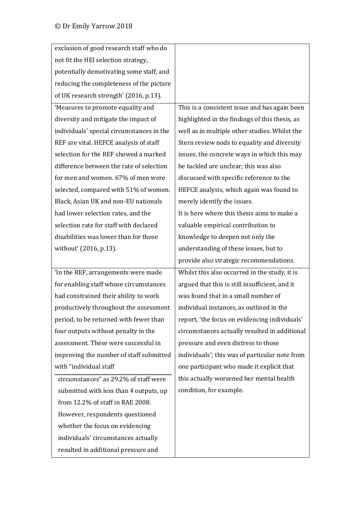| exclusion of good research staff who do   |                                                |
|-------------------------------------------|------------------------------------------------|
| not fit the HEI selection strategy,       |                                                |
| potentially demotivating some staff, and  |                                                |
| reducing the completeness of the picture  |                                                |
| of UK research strength' (2016, p.13).    |                                                |
| 'Measures to promote equality and         | This is a consistent issue and has again been  |
| diversity and mitigate the impact of      | highlighted in the findings of this thesis, as |
| individuals' special circumstances in the | well as in multiple other studies. Whilst the  |
| REF are vital. HEFCE analysis of staff    | Stern review nods to equality and diversity    |
| selection for the REF showed a marked     | issues, the concrete ways in which this may    |
| difference between the rate of selection  | be tackled are unclear; this was also          |
| for men and women. 67% of men were        | discussed with specific reference to the       |
| selected, compared with 51% of women.     | HEFCE analysis, which again was found to       |
| Black, Asian UK and non-EU nationals      | merely identify the issues.                    |
| had lower selection rates, and the        | It is here where this thesis aims to make a    |
| selection rate for staff with declared    | valuable empirical contribution to             |
| disabilities was lower than for those     | knowledge to deepen not only the               |
| without' (2016, p.13).                    | understanding of these issues, but to          |
|                                           | provide also strategic recommendations.        |
| 'In the REF, arrangements were made       | Whilst this also occurred in the study, it is  |
| for enabling staff whose circumstances    | argued that this is still insufficient, and it |
| had constrained their ability to work     | was found that in a small number of            |
| productively throughout the assessment    | individual instances, as outlined in the       |
| period, to be returned with fewer than    | report, 'the focus on evidencing individuals'  |
| four outputs without penalty in the       | circumstances actually resulted in additional  |
| assessment. These were successful in      | pressure and even distress to those            |
| improving the number of staff submitted   | individuals'; this was of particular note from |
| with "individual staff                    | one participant who made it explicit that      |
| circumstances" as 29.2% of staff were     | this actually worsened her mental health       |
| submitted with less than 4 outputs, up    | condition, for example.                        |
| from 12.2% of staff in RAE 2008.          |                                                |
| However, respondents questioned           |                                                |
| whether the focus on evidencing           |                                                |
| individuals' circumstances actually       |                                                |
| resulted in additional pressure and       |                                                |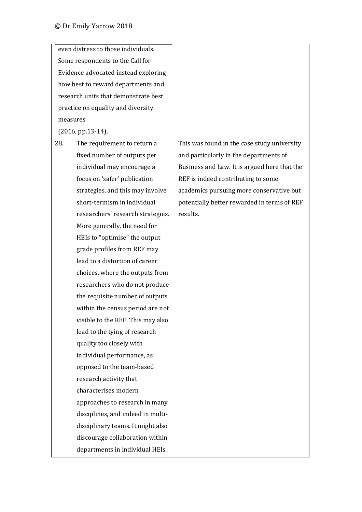|     | even distress to those individuals.  |                                              |
|-----|--------------------------------------|----------------------------------------------|
|     | Some respondents to the Call for     |                                              |
|     | Evidence advocated instead exploring |                                              |
|     | how best to reward departments and   |                                              |
|     | research units that demonstrate best |                                              |
|     | practice on equality and diversity   |                                              |
|     | measures                             |                                              |
|     | $(2016, pp.13-14).$                  |                                              |
| 28. | The requirement to return a          | This was found in the case study university  |
|     | fixed number of outputs per          | and particularly in the departments of       |
|     | individual may encourage a           | Business and Law. It is argued here that the |
|     | focus on 'safer' publication         | REF is indeed contributing to some           |
|     | strategies, and this may involve     | academics pursuing more conservative but     |
|     | short-termism in individual          | potentially better rewarded in terms of REF  |
|     | researchers' research strategies.    | results.                                     |
|     | More generally, the need for         |                                              |
|     | HEIs to "optimise" the output        |                                              |
|     | grade profiles from REF may          |                                              |
|     | lead to a distortion of career       |                                              |
|     | choices, where the outputs from      |                                              |
|     | researchers who do not produce       |                                              |
|     | the requisite number of outputs      |                                              |
|     | within the census period are not     |                                              |
|     | visible to the REF. This may also    |                                              |
|     | lead to the tying of research        |                                              |
|     | quality too closely with             |                                              |
|     | individual performance, as           |                                              |
|     | opposed to the team-based            |                                              |
|     | research activity that               |                                              |
|     | characterises modern                 |                                              |
|     | approaches to research in many       |                                              |
|     | disciplines, and indeed in multi-    |                                              |
|     | disciplinary teams. It might also    |                                              |
|     | discourage collaboration within      |                                              |
|     | departments in individual HEIs       |                                              |